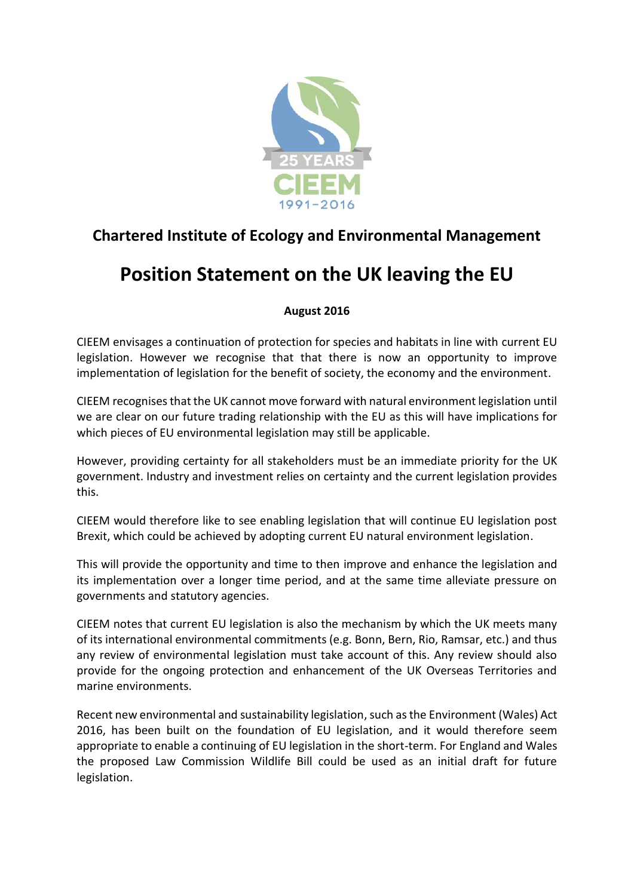

## **Chartered Institute of Ecology and Environmental Management**

## **Position Statement on the UK leaving the EU**

## **August 2016**

CIEEM envisages a continuation of protection for species and habitats in line with current EU legislation. However we recognise that that there is now an opportunity to improve implementation of legislation for the benefit of society, the economy and the environment.

CIEEM recognisesthat the UK cannot move forward with natural environment legislation until we are clear on our future trading relationship with the EU as this will have implications for which pieces of EU environmental legislation may still be applicable.

However, providing certainty for all stakeholders must be an immediate priority for the UK government. Industry and investment relies on certainty and the current legislation provides this.

CIEEM would therefore like to see enabling legislation that will continue EU legislation post Brexit, which could be achieved by adopting current EU natural environment legislation.

This will provide the opportunity and time to then improve and enhance the legislation and its implementation over a longer time period, and at the same time alleviate pressure on governments and statutory agencies.

CIEEM notes that current EU legislation is also the mechanism by which the UK meets many of its international environmental commitments (e.g. Bonn, Bern, Rio, Ramsar, etc.) and thus any review of environmental legislation must take account of this. Any review should also provide for the ongoing protection and enhancement of the UK Overseas Territories and marine environments.

Recent new environmental and sustainability legislation, such as the Environment (Wales) Act 2016, has been built on the foundation of EU legislation, and it would therefore seem appropriate to enable a continuing of EU legislation in the short-term. For England and Wales the proposed Law Commission Wildlife Bill could be used as an initial draft for future legislation.